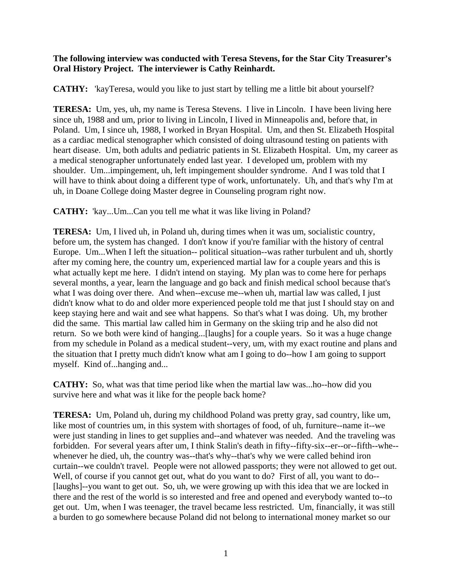## **The following interview was conducted with Teresa Stevens, for the Star City Treasurer's Oral History Project. The interviewer is Cathy Reinhardt.**

**CATHY:** 'kayTeresa, would you like to just start by telling me a little bit about yourself?

**TERESA:** Um, yes, uh, my name is Teresa Stevens. I live in Lincoln. I have been living here since uh, 1988 and um, prior to living in Lincoln, I lived in Minneapolis and, before that, in Poland. Um, I since uh, 1988, I worked in Bryan Hospital. Um, and then St. Elizabeth Hospital as a cardiac medical stenographer which consisted of doing ultrasound testing on patients with heart disease. Um, both adults and pediatric patients in St. Elizabeth Hospital. Um, my career as a medical stenographer unfortunately ended last year. I developed um, problem with my shoulder. Um...impingement, uh, left impingement shoulder syndrome. And I was told that I will have to think about doing a different type of work, unfortunately. Uh, and that's why I'm at uh, in Doane College doing Master degree in Counseling program right now.

**CATHY:** 'kay...Um...Can you tell me what it was like living in Poland?

**TERESA:** Um, I lived uh, in Poland uh, during times when it was um, socialistic country, before um, the system has changed. I don't know if you're familiar with the history of central Europe. Um...When I left the situation-- political situation--was rather turbulent and uh, shortly after my coming here, the country um, experienced martial law for a couple years and this is what actually kept me here. I didn't intend on staying. My plan was to come here for perhaps several months, a year, learn the language and go back and finish medical school because that's what I was doing over there. And when--excuse me--when uh, martial law was called, I just didn't know what to do and older more experienced people told me that just I should stay on and keep staying here and wait and see what happens. So that's what I was doing. Uh, my brother did the same. This martial law called him in Germany on the skiing trip and he also did not return. So we both were kind of hanging...[laughs] for a couple years. So it was a huge change from my schedule in Poland as a medical student--very, um, with my exact routine and plans and the situation that I pretty much didn't know what am I going to do--how I am going to support myself. Kind of...hanging and...

**CATHY:** So, what was that time period like when the martial law was...ho--how did you survive here and what was it like for the people back home?

**TERESA:** Um, Poland uh, during my childhood Poland was pretty gray, sad country, like um, like most of countries um, in this system with shortages of food, of uh, furniture--name it--we were just standing in lines to get supplies and--and whatever was needed. And the traveling was forbidden. For several years after um, I think Stalin's death in fifty--fifty-six--er--or--fifth--whe- whenever he died, uh, the country was--that's why--that's why we were called behind iron curtain--we couldn't travel. People were not allowed passports; they were not allowed to get out. Well, of course if you cannot get out, what do you want to do? First of all, you want to do--[laughs]--you want to get out. So, uh, we were growing up with this idea that we are locked in there and the rest of the world is so interested and free and opened and everybody wanted to--to get out. Um, when I was teenager, the travel became less restricted. Um, financially, it was still a burden to go somewhere because Poland did not belong to international money market so our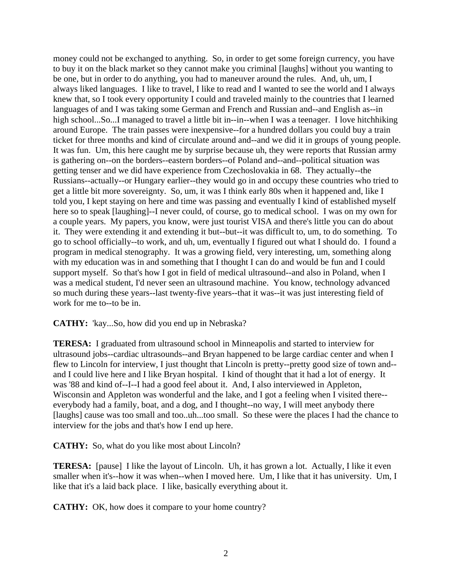money could not be exchanged to anything. So, in order to get some foreign currency, you have to buy it on the black market so they cannot make you criminal [laughs] without you wanting to be one, but in order to do anything, you had to maneuver around the rules. And, uh, um, I always liked languages. I like to travel, I like to read and I wanted to see the world and I always knew that, so I took every opportunity I could and traveled mainly to the countries that I learned languages of and I was taking some German and French and Russian and--and English as--in high school...So...I managed to travel a little bit in--in--when I was a teenager. I love hitchhiking around Europe. The train passes were inexpensive--for a hundred dollars you could buy a train ticket for three months and kind of circulate around and--and we did it in groups of young people. It was fun. Um, this here caught me by surprise because uh, they were reports that Russian army is gathering on--on the borders--eastern borders--of Poland and--and--political situation was getting tenser and we did have experience from Czechoslovakia in 68. They actually--the Russians--actually--or Hungary earlier--they would go in and occupy these countries who tried to get a little bit more sovereignty. So, um, it was I think early 80s when it happened and, like I told you, I kept staying on here and time was passing and eventually I kind of established myself here so to speak [laughing]--I never could, of course, go to medical school. I was on my own for a couple years. My papers, you know, were just tourist VISA and there's little you can do about it. They were extending it and extending it but--but--it was difficult to, um, to do something. To go to school officially--to work, and uh, um, eventually I figured out what I should do. I found a program in medical stenography. It was a growing field, very interesting, um, something along with my education was in and something that I thought I can do and would be fun and I could support myself. So that's how I got in field of medical ultrasound--and also in Poland, when I was a medical student, I'd never seen an ultrasound machine. You know, technology advanced so much during these years--last twenty-five years--that it was--it was just interesting field of work for me to--to be in.

**CATHY:** 'kay...So, how did you end up in Nebraska?

**TERESA:** I graduated from ultrasound school in Minneapolis and started to interview for ultrasound jobs--cardiac ultrasounds--and Bryan happened to be large cardiac center and when I flew to Lincoln for interview, I just thought that Lincoln is pretty--pretty good size of town and- and I could live here and I like Bryan hospital. I kind of thought that it had a lot of energy. It was '88 and kind of--I--I had a good feel about it. And, I also interviewed in Appleton, Wisconsin and Appleton was wonderful and the lake, and I got a feeling when I visited there- everybody had a family, boat, and a dog, and I thought--no way, I will meet anybody there [laughs] cause was too small and too..uh...too small. So these were the places I had the chance to interview for the jobs and that's how I end up here.

**CATHY:** So, what do you like most about Lincoln?

**TERESA:** [pause] I like the layout of Lincoln. Uh, it has grown a lot. Actually, I like it even smaller when it's--how it was when--when I moved here. Um, I like that it has university. Um, I like that it's a laid back place. I like, basically everything about it.

**CATHY:** OK, how does it compare to your home country?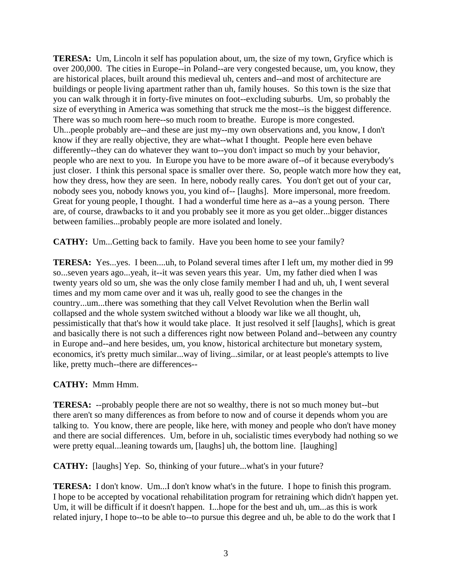**TERESA:** Um, Lincoln it self has population about, um, the size of my town, Gryfice which is over 200,000. The cities in Europe--in Poland--are very congested because, um, you know, they are historical places, built around this medieval uh, centers and--and most of architecture are buildings or people living apartment rather than uh, family houses. So this town is the size that you can walk through it in forty-five minutes on foot--excluding suburbs. Um, so probably the size of everything in America was something that struck me the most--is the biggest difference. There was so much room here--so much room to breathe. Europe is more congested. Uh...people probably are--and these are just my--my own observations and, you know, I don't know if they are really objective, they are what--what I thought. People here even behave differently--they can do whatever they want to--you don't impact so much by your behavior, people who are next to you. In Europe you have to be more aware of--of it because everybody's just closer. I think this personal space is smaller over there. So, people watch more how they eat, how they dress, how they are seen. In here, nobody really cares. You don't get out of your car, nobody sees you, nobody knows you, you kind of-- [laughs]. More impersonal, more freedom. Great for young people, I thought. I had a wonderful time here as a--as a young person. There are, of course, drawbacks to it and you probably see it more as you get older...bigger distances between families...probably people are more isolated and lonely.

**CATHY:** Um...Getting back to family. Have you been home to see your family?

**TERESA:** Yes...yes. I been....uh, to Poland several times after I left um, my mother died in 99 so...seven years ago...yeah, it--it was seven years this year. Um, my father died when I was twenty years old so um, she was the only close family member I had and uh, uh, I went several times and my mom came over and it was uh, really good to see the changes in the country...um...there was something that they call Velvet Revolution when the Berlin wall collapsed and the whole system switched without a bloody war like we all thought, uh, pessimistically that that's how it would take place. It just resolved it self [laughs], which is great and basically there is not such a differences right now between Poland and--between any country in Europe and--and here besides, um, you know, historical architecture but monetary system, economics, it's pretty much similar...way of living...similar, or at least people's attempts to live like, pretty much--there are differences--

## **CATHY:** Mmm Hmm.

**TERESA:** --probably people there are not so wealthy, there is not so much money but--but there aren't so many differences as from before to now and of course it depends whom you are talking to. You know, there are people, like here, with money and people who don't have money and there are social differences. Um, before in uh, socialistic times everybody had nothing so we were pretty equal...leaning towards um, [laughs] uh, the bottom line. [laughing]

**CATHY:** [laughs] Yep. So, thinking of your future...what's in your future?

**TERESA:** I don't know. Um...I don't know what's in the future. I hope to finish this program. I hope to be accepted by vocational rehabilitation program for retraining which didn't happen yet. Um, it will be difficult if it doesn't happen. I...hope for the best and uh, um...as this is work related injury, I hope to--to be able to--to pursue this degree and uh, be able to do the work that I